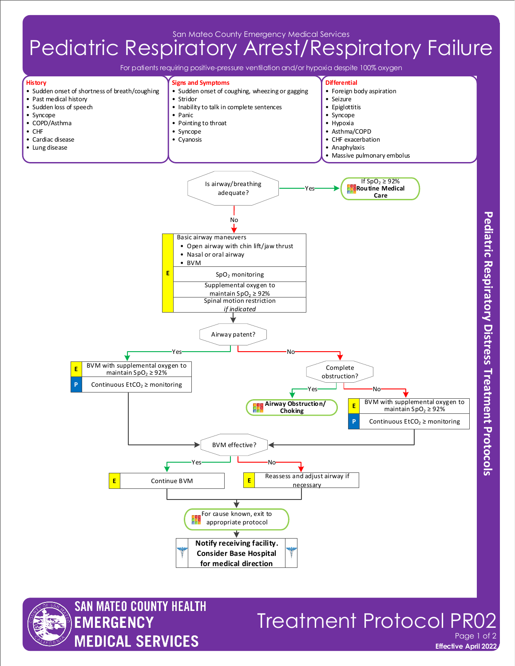San Mateo County Emergency Medical Services

## Pediatric Respiratory Arrest/Respiratory Failure

For patients requiring positive-pressure ventilation and/or hypoxia despite 100% oxygen





## **Effective April 2022 Treatment Protocol PR** Page 1 of 2